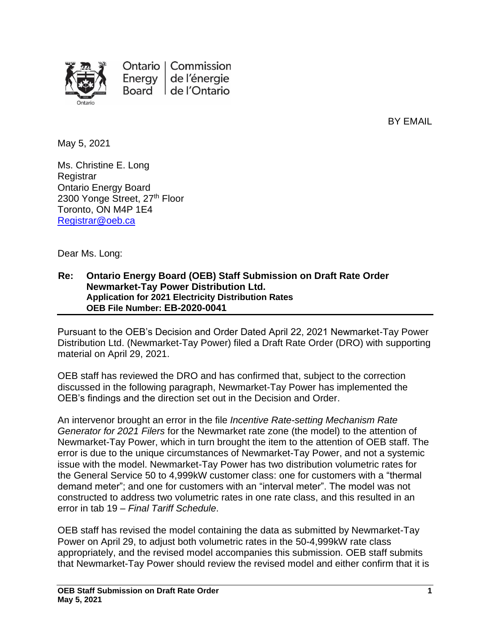

Ontario | Commission Energy de l'énergie Board de l'Ontario

BY EMAIL

May 5, 2021

Ms. Christine E. Long **Registrar** Ontario Energy Board 2300 Yonge Street, 27<sup>th</sup> Floor Toronto, ON M4P 1E4 [Registrar@oeb.ca](mailto:Registrar@oeb.ca)

Dear Ms. Long:

## **Re: Ontario Energy Board (OEB) Staff Submission on Draft Rate Order Newmarket-Tay Power Distribution Ltd. Application for 2021 Electricity Distribution Rates OEB File Number: EB-2020-0041**

Pursuant to the OEB's Decision and Order Dated April 22, 2021 Newmarket-Tay Power Distribution Ltd. (Newmarket-Tay Power) filed a Draft Rate Order (DRO) with supporting material on April 29, 2021.

OEB staff has reviewed the DRO and has confirmed that, subject to the correction discussed in the following paragraph, Newmarket-Tay Power has implemented the OEB's findings and the direction set out in the Decision and Order.

An intervenor brought an error in the file *Incentive Rate-setting Mechanism Rate Generator for 2021 Filers* for the Newmarket rate zone (the model) to the attention of Newmarket-Tay Power, which in turn brought the item to the attention of OEB staff. The error is due to the unique circumstances of Newmarket-Tay Power, and not a systemic issue with the model. Newmarket-Tay Power has two distribution volumetric rates for the General Service 50 to 4,999kW customer class: one for customers with a "thermal demand meter"; and one for customers with an "interval meter". The model was not constructed to address two volumetric rates in one rate class, and this resulted in an error in tab 19 – *Final Tariff Schedule*.

OEB staff has revised the model containing the data as submitted by Newmarket-Tay Power on April 29, to adjust both volumetric rates in the 50-4,999kW rate class appropriately, and the revised model accompanies this submission. OEB staff submits that Newmarket-Tay Power should review the revised model and either confirm that it is